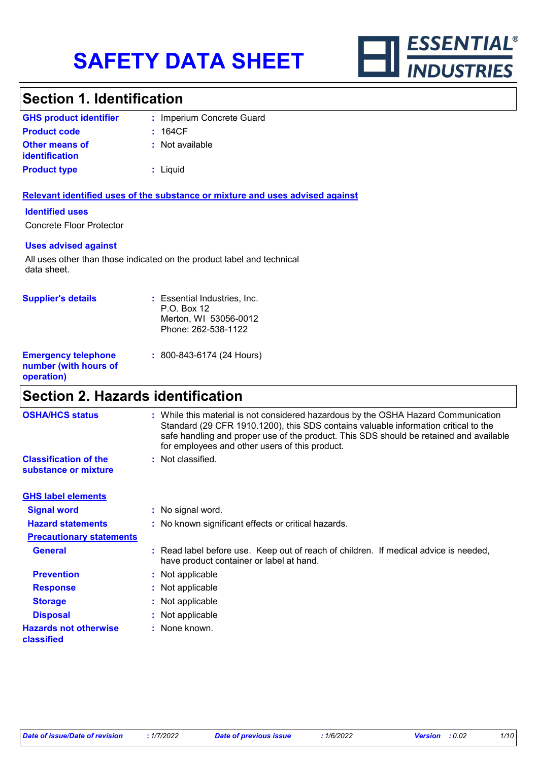

### **Section 1. Identification**

| <b>GHS product identifier</b>                  | : Imperium Concrete Guard |
|------------------------------------------------|---------------------------|
| <b>Product code</b>                            | : 164CF                   |
| <b>Other means of</b><br><i>identification</i> | : Not available           |
| <b>Product type</b>                            | : Liquid                  |

#### **Relevant identified uses of the substance or mixture and uses advised against**

#### **Identified uses**

Concrete Floor Protector

#### **Uses advised against**

All uses other than those indicated on the product label and technical data sheet.

| <b>Supplier's details</b>                                         | : Essential Industries, Inc.<br>P.O. Box 12<br>Merton, WI 53056-0012<br>Phone: 262-538-1122 |
|-------------------------------------------------------------------|---------------------------------------------------------------------------------------------|
| <b>Emergency telephone</b><br>number (with hours of<br>operation) | $: 800 - 843 - 6174$ (24 Hours)                                                             |

### **Section 2. Hazards identification**

| <b>OSHA/HCS status</b>                               | : While this material is not considered hazardous by the OSHA Hazard Communication<br>Standard (29 CFR 1910.1200), this SDS contains valuable information critical to the<br>safe handling and proper use of the product. This SDS should be retained and available<br>for employees and other users of this product. |
|------------------------------------------------------|-----------------------------------------------------------------------------------------------------------------------------------------------------------------------------------------------------------------------------------------------------------------------------------------------------------------------|
| <b>Classification of the</b><br>substance or mixture | : Not classified.                                                                                                                                                                                                                                                                                                     |
| <b>GHS label elements</b>                            |                                                                                                                                                                                                                                                                                                                       |
| <b>Signal word</b>                                   | : No signal word.                                                                                                                                                                                                                                                                                                     |
| <b>Hazard statements</b>                             | : No known significant effects or critical hazards.                                                                                                                                                                                                                                                                   |
| <b>Precautionary statements</b>                      |                                                                                                                                                                                                                                                                                                                       |
| <b>General</b>                                       | : Read label before use. Keep out of reach of children. If medical advice is needed,<br>have product container or label at hand.                                                                                                                                                                                      |
| <b>Prevention</b>                                    | : Not applicable                                                                                                                                                                                                                                                                                                      |
| <b>Response</b>                                      | : Not applicable                                                                                                                                                                                                                                                                                                      |
| <b>Storage</b>                                       | : Not applicable                                                                                                                                                                                                                                                                                                      |
| <b>Disposal</b>                                      | : Not applicable                                                                                                                                                                                                                                                                                                      |
| <b>Hazards not otherwise</b><br>classified           | : None known.                                                                                                                                                                                                                                                                                                         |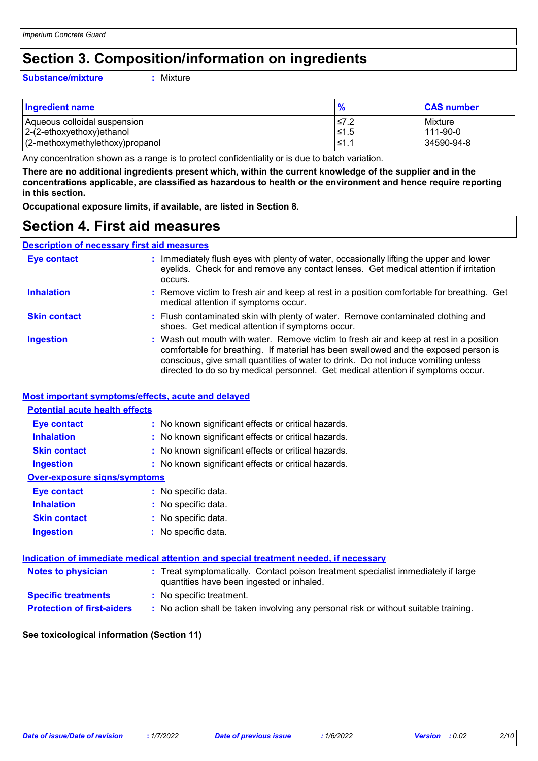### **Section 3. Composition/information on ingredients**

#### **Substance/mixture :**

: Mixture

| <b>Ingredient name</b>          |            | <b>CAS number</b> |
|---------------------------------|------------|-------------------|
| Aqueous colloidal suspension    | I≤7.2      | Mixture           |
| 2-(2-ethoxyethoxy)ethanol       | $\leq 1.5$ | 111-90-0          |
| (2-methoxymethylethoxy)propanol | - I≤1.     | 34590-94-8        |

Any concentration shown as a range is to protect confidentiality or is due to batch variation.

**There are no additional ingredients present which, within the current knowledge of the supplier and in the concentrations applicable, are classified as hazardous to health or the environment and hence require reporting in this section.**

**Occupational exposure limits, if available, are listed in Section 8.**

### **Section 4. First aid measures**

#### **Description of necessary first aid measures**

| <b>Eye contact</b>  | : Immediately flush eyes with plenty of water, occasionally lifting the upper and lower<br>eyelids. Check for and remove any contact lenses. Get medical attention if irritation<br>occurs.                                                                                                                                                            |
|---------------------|--------------------------------------------------------------------------------------------------------------------------------------------------------------------------------------------------------------------------------------------------------------------------------------------------------------------------------------------------------|
| <b>Inhalation</b>   | : Remove victim to fresh air and keep at rest in a position comfortable for breathing. Get<br>medical attention if symptoms occur.                                                                                                                                                                                                                     |
| <b>Skin contact</b> | : Flush contaminated skin with plenty of water. Remove contaminated clothing and<br>shoes. Get medical attention if symptoms occur.                                                                                                                                                                                                                    |
| <b>Ingestion</b>    | : Wash out mouth with water. Remove victim to fresh air and keep at rest in a position<br>comfortable for breathing. If material has been swallowed and the exposed person is<br>conscious, give small quantities of water to drink. Do not induce vomiting unless<br>directed to do so by medical personnel. Get medical attention if symptoms occur. |

#### **Most important symptoms/effects, acute and delayed**

| <b>Potential acute health effects</b> |                                                                                                                                |  |
|---------------------------------------|--------------------------------------------------------------------------------------------------------------------------------|--|
| Eye contact                           | : No known significant effects or critical hazards.                                                                            |  |
| <b>Inhalation</b>                     | : No known significant effects or critical hazards.                                                                            |  |
| <b>Skin contact</b>                   | : No known significant effects or critical hazards.                                                                            |  |
| <b>Ingestion</b>                      | : No known significant effects or critical hazards.                                                                            |  |
| <b>Over-exposure signs/symptoms</b>   |                                                                                                                                |  |
| <b>Eye contact</b>                    | : No specific data.                                                                                                            |  |
| <b>Inhalation</b>                     | : No specific data.                                                                                                            |  |
| <b>Skin contact</b>                   | : No specific data.                                                                                                            |  |
| Ingestion                             | $:$ No specific data.                                                                                                          |  |
|                                       | Indication of immediate medical attention and special treatment needed, if necessary                                           |  |
| <b>Notes to physician</b>             | : Treat symptomatically. Contact poison treatment specialist immediately if large<br>quantities have been ingested or inhaled. |  |

| <b>Specific treatments</b> | No specific treatment. |
|----------------------------|------------------------|
|                            |                        |

**Protection of first-aiders :** No action shall be taken involving any personal risk or without suitable training.

#### **See toxicological information (Section 11)**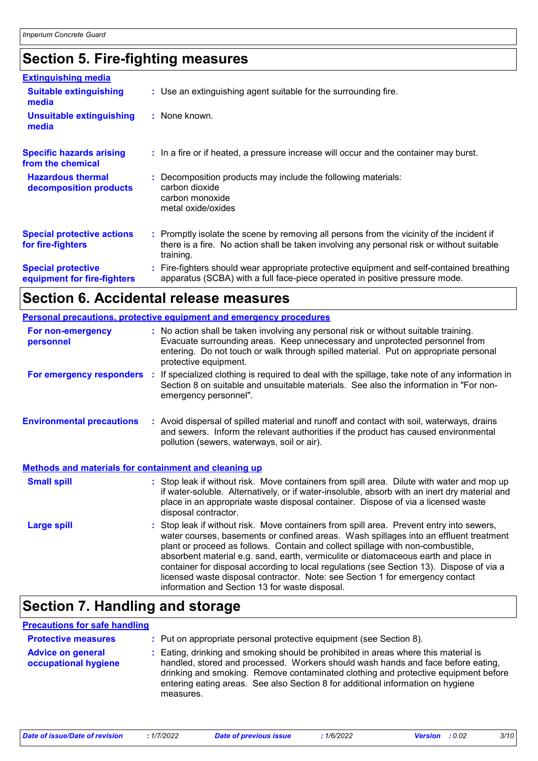### **Section 5. Fire-fighting measures**

| <b>Extinguishing media</b>                               |                                                                                                                                                                                                     |
|----------------------------------------------------------|-----------------------------------------------------------------------------------------------------------------------------------------------------------------------------------------------------|
| <b>Suitable extinguishing</b><br>media                   | : Use an extinguishing agent suitable for the surrounding fire.                                                                                                                                     |
| <b>Unsuitable extinguishing</b><br>media                 | : None known.                                                                                                                                                                                       |
| <b>Specific hazards arising</b><br>from the chemical     | : In a fire or if heated, a pressure increase will occur and the container may burst.                                                                                                               |
| <b>Hazardous thermal</b><br>decomposition products       | Decomposition products may include the following materials:<br>carbon dioxide<br>carbon monoxide<br>metal oxide/oxides                                                                              |
| <b>Special protective actions</b><br>for fire-fighters   | : Promptly isolate the scene by removing all persons from the vicinity of the incident if<br>there is a fire. No action shall be taken involving any personal risk or without suitable<br>training. |
| <b>Special protective</b><br>equipment for fire-fighters | Fire-fighters should wear appropriate protective equipment and self-contained breathing<br>apparatus (SCBA) with a full face-piece operated in positive pressure mode.                              |

### **Section 6. Accidental release measures**

|                                                              | <b>Personal precautions, protective equipment and emergency procedures</b>                                                                                                                                                                                                                                                                                                                                                                                                                                                                                                                 |
|--------------------------------------------------------------|--------------------------------------------------------------------------------------------------------------------------------------------------------------------------------------------------------------------------------------------------------------------------------------------------------------------------------------------------------------------------------------------------------------------------------------------------------------------------------------------------------------------------------------------------------------------------------------------|
| For non-emergency<br>personnel                               | : No action shall be taken involving any personal risk or without suitable training.<br>Evacuate surrounding areas. Keep unnecessary and unprotected personnel from<br>entering. Do not touch or walk through spilled material. Put on appropriate personal<br>protective equipment.                                                                                                                                                                                                                                                                                                       |
|                                                              | For emergency responders : If specialized clothing is required to deal with the spillage, take note of any information in<br>Section 8 on suitable and unsuitable materials. See also the information in "For non-<br>emergency personnel".                                                                                                                                                                                                                                                                                                                                                |
| <b>Environmental precautions</b>                             | : Avoid dispersal of spilled material and runoff and contact with soil, waterways, drains<br>and sewers. Inform the relevant authorities if the product has caused environmental<br>pollution (sewers, waterways, soil or air).                                                                                                                                                                                                                                                                                                                                                            |
| <b>Methods and materials for containment and cleaning up</b> |                                                                                                                                                                                                                                                                                                                                                                                                                                                                                                                                                                                            |
| <b>Small spill</b>                                           | : Stop leak if without risk. Move containers from spill area. Dilute with water and mop up<br>if water-soluble. Alternatively, or if water-insoluble, absorb with an inert dry material and<br>place in an appropriate waste disposal container. Dispose of via a licensed waste<br>disposal contractor.                                                                                                                                                                                                                                                                                   |
| <b>Large spill</b>                                           | : Stop leak if without risk. Move containers from spill area. Prevent entry into sewers,<br>water courses, basements or confined areas. Wash spillages into an effluent treatment<br>plant or proceed as follows. Contain and collect spillage with non-combustible,<br>absorbent material e.g. sand, earth, vermiculite or diatomaceous earth and place in<br>container for disposal according to local regulations (see Section 13). Dispose of via a<br>licensed waste disposal contractor. Note: see Section 1 for emergency contact<br>information and Section 13 for waste disposal. |

### **Section 7. Handling and storage**

#### **Precautions for safe handling**

| <b>Protective measures</b>                       | : Put on appropriate personal protective equipment (see Section 8).                                                                                                                                                                                                                                                                                           |  |
|--------------------------------------------------|---------------------------------------------------------------------------------------------------------------------------------------------------------------------------------------------------------------------------------------------------------------------------------------------------------------------------------------------------------------|--|
| <b>Advice on general</b><br>occupational hygiene | : Eating, drinking and smoking should be prohibited in areas where this material is<br>handled, stored and processed. Workers should wash hands and face before eating,<br>drinking and smoking. Remove contaminated clothing and protective equipment before<br>entering eating areas. See also Section 8 for additional information on hygiene<br>measures. |  |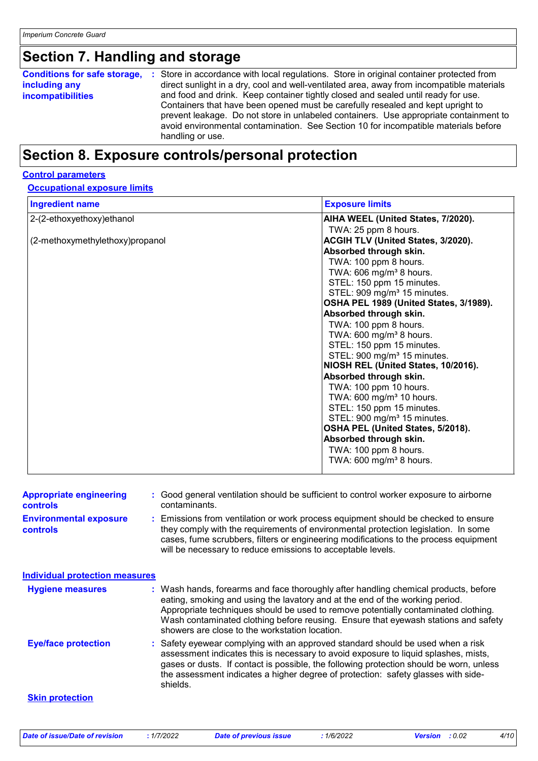# **Section 7. Handling and storage**

### **Section 8. Exposure controls/personal protection**

#### **Control parameters**

#### **Occupational exposure limits**

| <b>Ingredient name</b>          | <b>Exposure limits</b>                  |
|---------------------------------|-----------------------------------------|
| 2-(2-ethoxyethoxy) ethanol      | AIHA WEEL (United States, 7/2020).      |
|                                 | TWA: 25 ppm 8 hours.                    |
| (2-methoxymethylethoxy)propanol | ACGIH TLV (United States, 3/2020).      |
|                                 | Absorbed through skin.                  |
|                                 | TWA: 100 ppm 8 hours.                   |
|                                 | TWA: 606 mg/m <sup>3</sup> 8 hours.     |
|                                 | STEL: 150 ppm 15 minutes.               |
|                                 | STEL: 909 mg/m <sup>3</sup> 15 minutes. |
|                                 | OSHA PEL 1989 (United States, 3/1989).  |
|                                 | Absorbed through skin.                  |
|                                 | TWA: 100 ppm 8 hours.                   |
|                                 | TWA: $600 \text{ mg/m}^3$ 8 hours.      |
|                                 | STEL: 150 ppm 15 minutes.               |
|                                 | STEL: 900 mg/m <sup>3</sup> 15 minutes. |
|                                 | NIOSH REL (United States, 10/2016).     |
|                                 | Absorbed through skin.                  |
|                                 | TWA: 100 ppm 10 hours.                  |
|                                 | TWA: 600 mg/m <sup>3</sup> 10 hours.    |
|                                 | STEL: 150 ppm 15 minutes.               |
|                                 | STEL: 900 mg/m <sup>3</sup> 15 minutes. |
|                                 | OSHA PEL (United States, 5/2018).       |
|                                 | Absorbed through skin.                  |
|                                 | TWA: 100 ppm 8 hours.                   |
|                                 | TWA: 600 mg/m <sup>3</sup> 8 hours.     |
|                                 |                                         |

| <b>Appropriate engineering</b><br><b>controls</b> |    | : Good general ventilation should be sufficient to control worker exposure to airborne<br>contaminants.                                                                                                                                                                                                                                                                                           |  |
|---------------------------------------------------|----|---------------------------------------------------------------------------------------------------------------------------------------------------------------------------------------------------------------------------------------------------------------------------------------------------------------------------------------------------------------------------------------------------|--|
| <b>Environmental exposure</b><br><b>controls</b>  |    | : Emissions from ventilation or work process equipment should be checked to ensure<br>they comply with the requirements of environmental protection legislation. In some<br>cases, fume scrubbers, filters or engineering modifications to the process equipment<br>will be necessary to reduce emissions to acceptable levels.                                                                   |  |
| <b>Individual protection measures</b>             |    |                                                                                                                                                                                                                                                                                                                                                                                                   |  |
| <b>Hygiene measures</b>                           |    | : Wash hands, forearms and face thoroughly after handling chemical products, before<br>eating, smoking and using the lavatory and at the end of the working period.<br>Appropriate techniques should be used to remove potentially contaminated clothing.<br>Wash contaminated clothing before reusing. Ensure that eyewash stations and safety<br>showers are close to the workstation location. |  |
| <b>Eye/face protection</b>                        | ÷. | Safety eyewear complying with an approved standard should be used when a risk<br>assessment indicates this is necessary to avoid exposure to liquid splashes, mists,<br>gases or dusts. If contact is possible, the following protection should be worn, unless<br>the assessment indicates a higher degree of protection: safety glasses with side-<br>shields.                                  |  |
| <b>Skin protection</b>                            |    |                                                                                                                                                                                                                                                                                                                                                                                                   |  |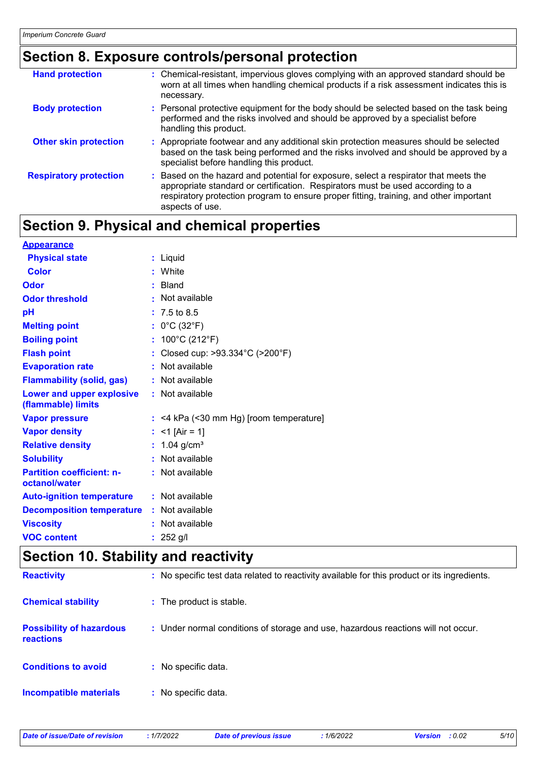### **Section 8. Exposure controls/personal protection**

| <b>Hand protection</b>        | : Chemical-resistant, impervious gloves complying with an approved standard should be<br>worn at all times when handling chemical products if a risk assessment indicates this is<br>necessary.                                                                                     |
|-------------------------------|-------------------------------------------------------------------------------------------------------------------------------------------------------------------------------------------------------------------------------------------------------------------------------------|
| <b>Body protection</b>        | : Personal protective equipment for the body should be selected based on the task being<br>performed and the risks involved and should be approved by a specialist before<br>handling this product.                                                                                 |
| <b>Other skin protection</b>  | : Appropriate footwear and any additional skin protection measures should be selected<br>based on the task being performed and the risks involved and should be approved by a<br>specialist before handling this product.                                                           |
| <b>Respiratory protection</b> | : Based on the hazard and potential for exposure, select a respirator that meets the<br>appropriate standard or certification. Respirators must be used according to a<br>respiratory protection program to ensure proper fitting, training, and other important<br>aspects of use. |

## **Section 9. Physical and chemical properties**

| <b>Appearance</b>                                 |                                           |
|---------------------------------------------------|-------------------------------------------|
| <b>Physical state</b>                             | : Liquid                                  |
| <b>Color</b>                                      | : White                                   |
| Odor                                              | : Bland                                   |
| <b>Odor threshold</b>                             | : Not available                           |
| рH                                                | $: 7.5 \text{ to } 8.5$                   |
| <b>Melting point</b>                              | : $0^{\circ}$ C (32 $^{\circ}$ F)         |
| <b>Boiling point</b>                              | : $100^{\circ}$ C (212 $^{\circ}$ F)      |
| <b>Flash point</b>                                | Closed cup: >93.334°C (>200°F)            |
| <b>Evaporation rate</b>                           | : Not available                           |
| <b>Flammability (solid, gas)</b>                  | : Not available                           |
| Lower and upper explosive<br>(flammable) limits   | : Not available                           |
| <b>Vapor pressure</b>                             | $:$ <4 kPa (<30 mm Hg) [room temperature] |
| <b>Vapor density</b>                              | : <1 [Air = 1]                            |
| <b>Relative density</b>                           | : $1.04$ g/cm <sup>3</sup>                |
| <b>Solubility</b>                                 | : Not available                           |
| <b>Partition coefficient: n-</b><br>octanol/water | : Not available                           |
| <b>Auto-ignition temperature</b>                  | : Not available                           |
| <b>Decomposition temperature : Not available</b>  |                                           |
| <b>Viscosity</b>                                  | : Not available                           |
| <b>VOC content</b>                                | : $252$ g/l                               |

## **Section 10. Stability and reactivity**

| <b>Reactivity</b>                            | : No specific test data related to reactivity available for this product or its ingredients. |
|----------------------------------------------|----------------------------------------------------------------------------------------------|
| <b>Chemical stability</b>                    | : The product is stable.                                                                     |
| <b>Possibility of hazardous</b><br>reactions | : Under normal conditions of storage and use, hazardous reactions will not occur.            |
| <b>Conditions to avoid</b>                   | : No specific data.                                                                          |
| <b>Incompatible materials</b>                | : No specific data.                                                                          |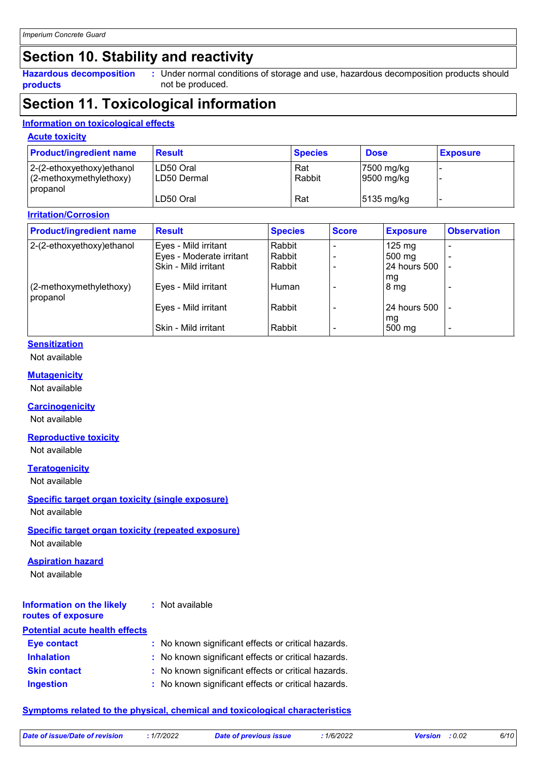### **Section 10. Stability and reactivity**

**Hazardous decomposition products**

Under normal conditions of storage and use, hazardous decomposition products should **:** not be produced.

### **Section 11. Toxicological information**

#### **Information on toxicological effects**

#### **Acute toxicity**

| <b>Product/ingredient name</b>                                         | <b>Result</b>              | <b>Species</b> | <b>Dose</b>              | <b>Exposure</b> |
|------------------------------------------------------------------------|----------------------------|----------------|--------------------------|-----------------|
| $ 2-(2-ethoxyethoxy)e$ thanol<br>$(2-methoxymethylethoxy)$<br>propanol | ILD50 Oral<br>ILD50 Dermal | Rat<br>Rabbit  | 7500 mg/kg<br>9500 mg/kg |                 |
|                                                                        | LD50 Oral                  | Rat            | $5135 \text{ mg/kg}$     |                 |

#### **Irritation/Corrosion**

| <b>Product/ingredient name</b>         | <b>Result</b>            | <b>Species</b> | <b>Score</b> | <b>Exposure</b>  | <b>Observation</b> |
|----------------------------------------|--------------------------|----------------|--------------|------------------|--------------------|
| 2-(2-ethoxyethoxy) ethanol             | Eyes - Mild irritant     | Rabbit         |              | $125 \text{ mg}$ | ٠                  |
|                                        | Eyes - Moderate irritant | Rabbit         |              | $500 \text{ mg}$ |                    |
|                                        | Skin - Mild irritant     | Rabbit         |              | 124 hours 500    |                    |
| $(2$ -methoxymethylethoxy)<br>propanol | Eyes - Mild irritant     | Human          |              | mg<br>8 mg       |                    |
|                                        | Eyes - Mild irritant     | Rabbit         |              | 24 hours 500     |                    |
|                                        | Skin - Mild irritant     | Rabbit         |              | mg<br>500 mg     | ٠                  |

#### **Sensitization**

Not available

#### **Mutagenicity**

Not available

#### **Carcinogenicity**

Not available

#### **Reproductive toxicity**

Not available

#### **Teratogenicity**

Not available

#### **Specific target organ toxicity (single exposure)**

Not available

#### **Specific target organ toxicity (repeated exposure)**

Not available

#### **Aspiration hazard**

Not available

#### **Information on the likely routes of exposure :** Not available

| <b>Potential acute health effects</b> |                                                     |  |
|---------------------------------------|-----------------------------------------------------|--|
| <b>Eye contact</b>                    | : No known significant effects or critical hazards. |  |
| <b>Inhalation</b>                     | : No known significant effects or critical hazards. |  |
| <b>Skin contact</b>                   | : No known significant effects or critical hazards. |  |
| <b>Ingestion</b>                      | : No known significant effects or critical hazards. |  |

#### **Symptoms related to the physical, chemical and toxicological characteristics**

| Date of issue/Date of revision | 1/7/2022 | <b>Date of previous issue</b> | 1/6/2022 | <b>Version</b> : 0.02 | 6/10 |
|--------------------------------|----------|-------------------------------|----------|-----------------------|------|
|                                |          |                               |          |                       |      |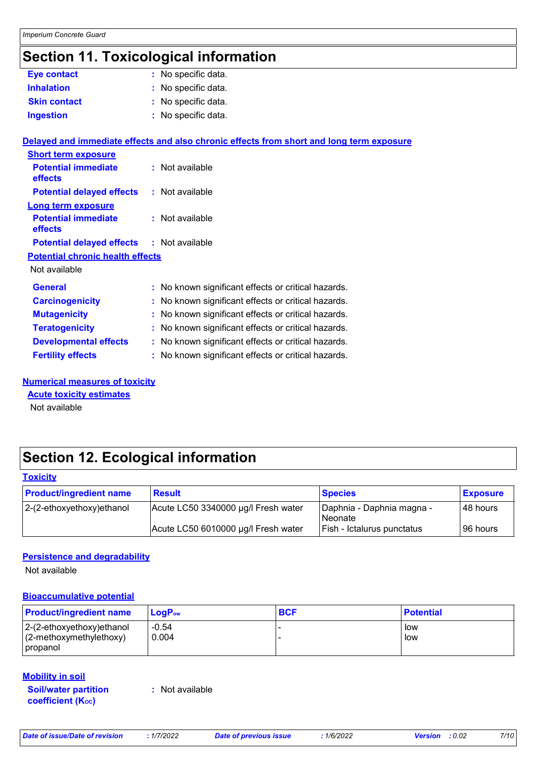### **Section 11. Toxicological information**

|                                         | ,                                                                                        |
|-----------------------------------------|------------------------------------------------------------------------------------------|
| <b>Eye contact</b>                      | : No specific data.                                                                      |
| <b>Inhalation</b>                       | : No specific data.                                                                      |
| <b>Skin contact</b>                     | : No specific data.                                                                      |
| <b>Ingestion</b>                        | : No specific data.                                                                      |
|                                         | Delayed and immediate effects and also chronic effects from short and long term exposure |
| <b>Short term exposure</b>              |                                                                                          |
| <b>Potential immediate</b><br>effects   | : Not available                                                                          |
| <b>Potential delayed effects</b>        | : Not available                                                                          |
| <b>Long term exposure</b>               |                                                                                          |
| <b>Potential immediate</b><br>effects   | : Not available                                                                          |
| <b>Potential delayed effects</b>        | : Not available                                                                          |
| <b>Potential chronic health effects</b> |                                                                                          |
| Not available                           |                                                                                          |
| <b>General</b>                          | : No known significant effects or critical hazards.                                      |
| <b>Carcinogenicity</b>                  | : No known significant effects or critical hazards.                                      |
| <b>Mutagenicity</b>                     | : No known significant effects or critical hazards.                                      |
| <b>Teratogenicity</b>                   | : No known significant effects or critical hazards.                                      |
| <b>Developmental effects</b>            | : No known significant effects or critical hazards.                                      |
| <b>Fertility effects</b>                | : No known significant effects or critical hazards.                                      |

#### **Numerical measures of toxicity**

**Acute toxicity estimates**

Not available

### **Section 12. Ecological information**

#### **Toxicity**

| <b>Product/ingredient name</b> | <b>Result</b>                       | <b>Species</b>                              | <b>Exposure</b> |
|--------------------------------|-------------------------------------|---------------------------------------------|-----------------|
| 2-(2-ethoxyethoxy)ethanol      | Acute LC50 3340000 µg/l Fresh water | Daphnia - Daphnia magna -<br><i>Neonate</i> | I48 hours       |
|                                | Acute LC50 6010000 µg/l Fresh water | Fish - Ictalurus punctatus                  | I96 hours       |

#### **Persistence and degradability**

Not available

#### **Bioaccumulative potential**

| <b>Product/ingredient name</b>                                          | $LoaPow$         | <b>BCF</b> | <b>Potential</b> |
|-------------------------------------------------------------------------|------------------|------------|------------------|
| $ 2-(2-ethoxyethoxy)ethanol$<br>$(2-methoxymethylethoxy)$<br>  propanol | $-0.54$<br>0.004 |            | low<br>l low     |

#### **Mobility in soil**

**Soil/water partition coefficient (Koc)** 

**:** Not available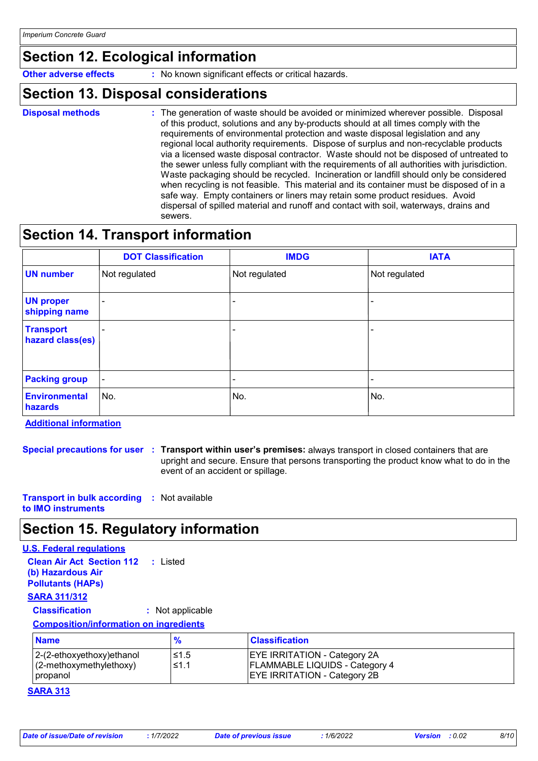### **Section 12. Ecological information**

**Other adverse effects** : No known significant effects or critical hazards.

### **Section 13. Disposal considerations**

- **Disposal methods :**
- The generation of waste should be avoided or minimized wherever possible. Disposal of this product, solutions and any by-products should at all times comply with the requirements of environmental protection and waste disposal legislation and any regional local authority requirements. Dispose of surplus and non-recyclable products via a licensed waste disposal contractor. Waste should not be disposed of untreated to the sewer unless fully compliant with the requirements of all authorities with jurisdiction. Waste packaging should be recycled. Incineration or landfill should only be considered when recycling is not feasible. This material and its container must be disposed of in a safe way. Empty containers or liners may retain some product residues. Avoid dispersal of spilled material and runoff and contact with soil, waterways, drains and sewers.

### **Section 14. Transport information**

|                                      | <b>DOT Classification</b> | <b>IMDG</b>   | <b>IATA</b>   |
|--------------------------------------|---------------------------|---------------|---------------|
| <b>UN number</b>                     | Not regulated             | Not regulated | Not regulated |
| <b>UN proper</b><br>shipping name    |                           |               |               |
| <b>Transport</b><br>hazard class(es) |                           |               |               |
| <b>Packing group</b>                 | $\blacksquare$            |               |               |
| Environmental<br>hazards             | No.                       | No.           | No.           |

**Additional information**

**Special precautions for user Transport within user's premises:** always transport in closed containers that are **:** upright and secure. Ensure that persons transporting the product know what to do in the event of an accident or spillage.

**Transport in bulk according :** Not available **to IMO instruments**

### **Section 15. Regulatory information**

### **U.S. Federal regulations**

| <b>Clean Air Act Section 112 : Listed</b><br>(b) Hazardous Air<br><b>Pollutants (HAPs)</b> |                  |
|--------------------------------------------------------------------------------------------|------------------|
| <b>SARA 311/312</b>                                                                        |                  |
| <b>Classification</b>                                                                      | : Not applicable |
| <b>Composition/information on ingredients</b>                                              |                  |
| <b>Name</b>                                                                                | %                |
| 2-(2-ethoxyethoxy)ethanol                                                                  |                  |

| <b>Name</b>                                                          | $\mathbf{o}$ | <b>Classification</b>                                                                                               |
|----------------------------------------------------------------------|--------------|---------------------------------------------------------------------------------------------------------------------|
| 2-(2-ethoxyethoxy) ethanol<br>$(2$ -methoxymethylethoxy)<br>propanol | 1≤.5<br>≤1.1 | <b>EYE IRRITATION - Category 2A</b><br><b>FLAMMABLE LIQUIDS - Category 4</b><br><b>EYE IRRITATION - Category 2B</b> |

#### **SARA 313**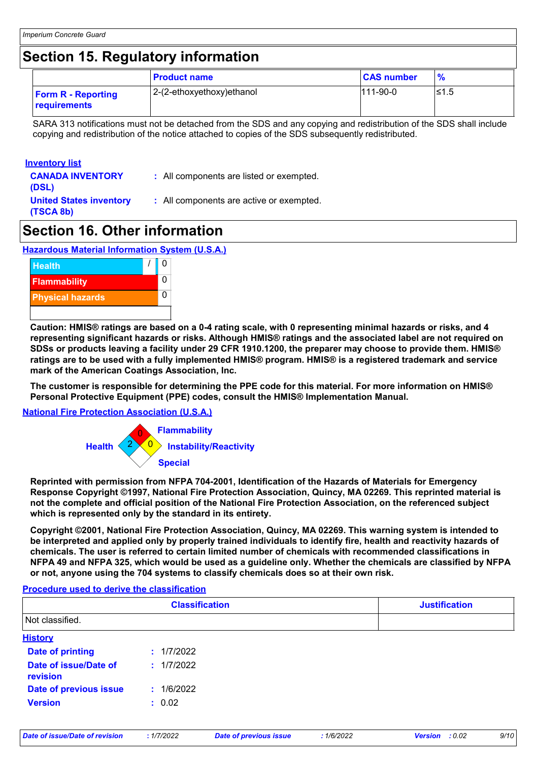### **Section 15. Regulatory information**

|                                                  | <b>Product name</b>       | <b>CAS number</b> | $\frac{9}{6}$ |
|--------------------------------------------------|---------------------------|-------------------|---------------|
| <b>Form R</b> - Reporting<br><b>requirements</b> | 2-(2-ethoxyethoxy)ethanol | 111-90-0          | l≤1.5         |

SARA 313 notifications must not be detached from the SDS and any copying and redistribution of the SDS shall include copying and redistribution of the notice attached to copies of the SDS subsequently redistributed.

#### **Inventory list**

- **CANADA INVENTORY (DSL)**
- **:** All components are listed or exempted.

**United States inventory (TSCA 8b)**

**:** All components are active or exempted.

### **Section 16. Other information**

**Hazardous Material Information System (U.S.A.)**



**Caution: HMIS® ratings are based on a 0-4 rating scale, with 0 representing minimal hazards or risks, and 4 representing significant hazards or risks. Although HMIS® ratings and the associated label are not required on SDSs or products leaving a facility under 29 CFR 1910.1200, the preparer may choose to provide them. HMIS® ratings are to be used with a fully implemented HMIS® program. HMIS® is a registered trademark and service mark of the American Coatings Association, Inc.**

**The customer is responsible for determining the PPE code for this material. For more information on HMIS® Personal Protective Equipment (PPE) codes, consult the HMIS® Implementation Manual.**

#### **National Fire Protection Association (U.S.A.)**



**Reprinted with permission from NFPA 704-2001, Identification of the Hazards of Materials for Emergency Response Copyright ©1997, National Fire Protection Association, Quincy, MA 02269. This reprinted material is not the complete and official position of the National Fire Protection Association, on the referenced subject which is represented only by the standard in its entirety.**

**Copyright ©2001, National Fire Protection Association, Quincy, MA 02269. This warning system is intended to be interpreted and applied only by properly trained individuals to identify fire, health and reactivity hazards of chemicals. The user is referred to certain limited number of chemicals with recommended classifications in NFPA 49 and NFPA 325, which would be used as a guideline only. Whether the chemicals are classified by NFPA or not, anyone using the 704 systems to classify chemicals does so at their own risk.**

#### **Procedure used to derive the classification**

|                                   | <b>Classification</b> | <b>Justification</b> |
|-----------------------------------|-----------------------|----------------------|
| Not classified.                   |                       |                      |
| <b>History</b>                    |                       |                      |
| <b>Date of printing</b>           | : 1/7/2022            |                      |
| Date of issue/Date of<br>revision | : 1/7/2022            |                      |
| Date of previous issue            | : 1/6/2022            |                      |
| <b>Version</b>                    | : 0.02                |                      |
|                                   |                       |                      |